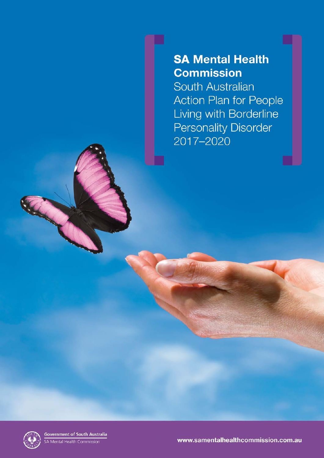# **SA Mental Health Commission**

South Australian Action Plan for People Living with Borderline **Personality Disorder** 2017-2020



**Government of South Australia** Mental Health Commission

www.samentalhealthcommission.com.au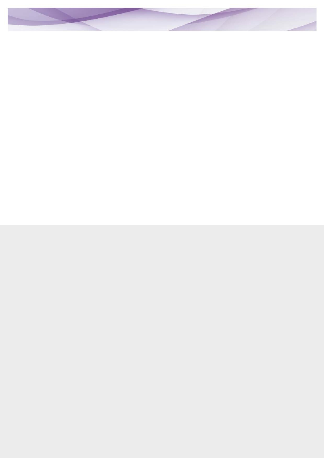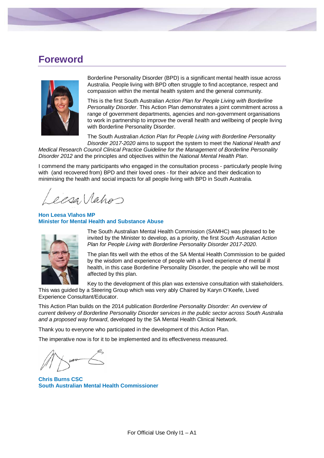## **Foreword**



Borderline Personality Disorder (BPD) is a significant mental health issue across Australia. People living with BPD often struggle to find acceptance, respect and compassion within the mental health system and the general community.

This is the first South Australian *Action Plan for People Living with Borderline Personality Disorder*. This Action Plan demonstrates a joint commitment across a range of government departments, agencies and non-government organisations to work in partnership to improve the overall health and wellbeing of people living with Borderline Personality Disorder.

The South Australian *Action Plan for People Living with Borderline Personality Disorder 2017-2020* aims to support the system to meet the *National Health and* 

*Medical Research Council Clinical Practice Guideline for the Management of Borderline Personality Disorder 2012* and the principles and objectives within the *National Mental Health Plan*.

I commend the many participants who engaged in the consultation process - particularly people living with (and recovered from) BPD and their loved ones - for their advice and their dedication to minimising the health and social impacts for all people living with BPD in South Australia.

eesa Vahos

#### **Hon Leesa Vlahos MP Minister for Mental Health and Substance Abuse**



The South Australian Mental Health Commission (SAMHC) was pleased to be invited by the Minister to develop, as a priority, the first *South Australian Action Plan for People Living with Borderline Personality Disorder 2017-2020*.

The plan fits well with the ethos of the SA Mental Health Commission to be guided by the wisdom and experience of people with a lived experience of mental ill health, in this case Borderline Personality Disorder, the people who will be most affected by this plan.

Key to the development of this plan was extensive consultation with stakeholders.

This was guided by a Steering Group which was very ably Chaired by Karyn O'Keefe, Lived Experience Consultant/Educator.

This Action Plan builds on the 2014 publication *Borderline Personality Disorder: An overview of current delivery of Borderline Personality Disorder services in the public sector across South Australia and a proposed way forward*, developed by the SA Mental Health Clinical Network.

Thank you to everyone who participated in the development of this Action Plan.

The imperative now is for it to be implemented and its effectiveness measured.

**Chris Burns CSC South Australian Mental Health Commissioner**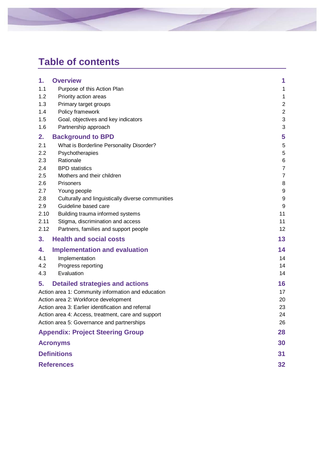# **Table of contents**

| 1.   | <b>Overview</b>                                    | 1              |
|------|----------------------------------------------------|----------------|
| 1.1  | Purpose of this Action Plan                        | 1              |
| 1.2  | Priority action areas                              | $\mathbf 1$    |
| 1.3  | Primary target groups                              | $\overline{c}$ |
| 1.4  | Policy framework                                   | $\overline{2}$ |
| 1.5  | Goal, objectives and key indicators                | $\sqrt{3}$     |
| 1.6  | Partnership approach                               | 3              |
| 2.   | <b>Background to BPD</b>                           | 5              |
| 2.1  | What is Borderline Personality Disorder?           | $\sqrt{5}$     |
| 2.2  | Psychotherapies                                    | $\sqrt{5}$     |
| 2.3  | Rationale                                          | 6              |
| 2.4  | <b>BPD</b> statistics                              | $\overline{7}$ |
| 2.5  | Mothers and their children                         | $\overline{7}$ |
| 2.6  | Prisoners                                          | 8              |
| 2.7  | Young people                                       | 9              |
| 2.8  | Culturally and linguistically diverse communities  | 9              |
| 2.9  | Guideline based care                               | 9              |
| 2.10 | Building trauma informed systems                   | 11             |
| 2.11 | Stigma, discrimination and access                  | 11             |
| 2.12 | Partners, families and support people              | 12             |
| 3.   | <b>Health and social costs</b>                     | 13             |
| 4.   | <b>Implementation and evaluation</b>               | 14             |
| 4.1  | Implementation                                     | 14             |
| 4.2  | Progress reporting                                 | 14             |
| 4.3  | Evaluation                                         | 14             |
| 5.   | <b>Detailed strategies and actions</b>             | 16             |
|      | Action area 1: Community information and education | 17             |
|      | Action area 2: Workforce development               | 20             |
|      | Action area 3: Earlier identification and referral | 23             |
|      | Action area 4: Access, treatment, care and support | 24             |
|      | Action area 5: Governance and partnerships         | 26             |
|      | <b>Appendix: Project Steering Group</b>            | 28             |
|      | <b>Acronyms</b>                                    | 30             |
|      | <b>Definitions</b>                                 | 31             |
|      | <b>References</b>                                  | 32             |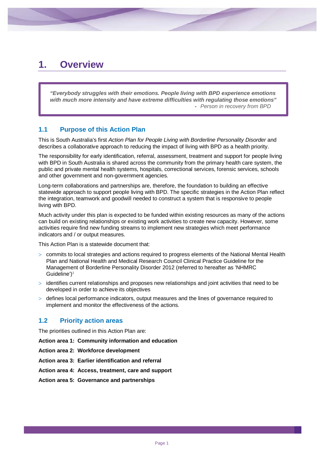## **1. Overview**

*"Everybody struggles with their emotions. People living with BPD experience emotions with much more intensity and have extreme difficulties with regulating those emotions"* **-** *Person in recovery from BPD*

#### **1.1 Purpose of this Action Plan**

This is South Australia's first *Action Plan for People Living with Borderline Personality Disorder* and describes a collaborative approach to reducing the impact of living with BPD as a health priority.

The responsibility for early identification, referral, assessment, treatment and support for people living with BPD in South Australia is shared across the community from the primary health care system, the public and private mental health systems, hospitals, correctional services, forensic services, schools and other government and non-government agencies.

Long-term collaborations and partnerships are, therefore, the foundation to building an effective statewide approach to support people living with BPD. The specific strategies in the Action Plan reflect the integration, teamwork and goodwill needed to construct a system that is responsive to people living with BPD.

Much activity under this plan is expected to be funded within existing resources as many of the actions can build on existing relationships or existing work activities to create new capacity. However, some activities require find new funding streams to implement new strategies which meet performance indicators and / or output measures.

This Action Plan is a statewide document that:

- > commits to local strategies and actions required to progress elements of the National Mental Health Plan and National Health and Medical Research Council Clinical Practice Guideline for the Management of Borderline Personality Disorder 2012 (referred to hereafter as 'NHMRC Guideline')[1](#page-29-0)
- > identifies current relationships and proposes new relationships and joint activities that need to be developed in order to achieve its objectives
- > defines local performance indicators, output measures and the lines of governance required to implement and monitor the effectiveness of the actions.

#### **1.2 Priority action areas**

The priorities outlined in this Action Plan are:

**Action area 1: Community information and education** 

- **Action area 2: Workforce development**
- **Action area 3: Earlier identification and referral**
- **Action area 4: Access, treatment, care and support**

**Action area 5: Governance and partnerships**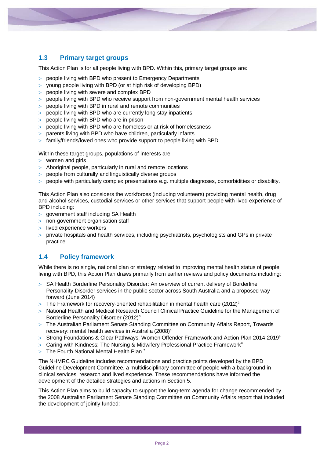### **1.3 Primary target groups**

This Action Plan is for all people living with BPD. Within this, primary target groups are:

- > people living with BPD who present to Emergency Departments
- $>$  young people living with BPD (or at high risk of developing BPD)
- > people living with severe and complex BPD
- $>$  people living with BPD who receive support from non-government mental health services
- > people living with BPD in rural and remote communities
- > people living with BPD who are currently long-stay inpatients
- $>$  people living with BPD who are in prison
- $>$  people living with BPD who are homeless or at risk of homelessness
- > parents living with BPD who have children, particularly infants
- > family/friends/loved ones who provide support to people living with BPD.

Within these target groups, populations of interests are:

- $>$  women and girls
- > Aboriginal people, particularly in rural and remote locations
- > people from culturally and linguistically diverse groups
- > people with particularly complex presentations e.g. multiple diagnoses, comorbidities or disability.

This Action Plan also considers the workforces (including volunteers) providing mental health, drug and alcohol services, custodial services or other services that support people with lived experience of BPD including:

- > government staff including SA Health
- > non-government organisation staff
- > lived experience workers
- > private hospitals and health services, including psychiatrists, psychologists and GPs in private practice.

### **1.4 Policy framework**

While there is no single, national plan or strategy related to improving mental health status of people living with BPD, this Action Plan draws primarily from earlier reviews and policy documents including:

- > SA Health Borderline Personality Disorder: An overview of current delivery of Borderline Personality Disorder services in the public sector across South Australia and a proposed way forward (June 2014)
- > The Framework for recovery-oriented rehabilitation in mental health care ([2](#page-29-1)012)<sup>2</sup>
- > National Health and Medical Research Council Clinical Practice Guideline for the Management of Borderline Personality Disorder (2012)<sup>[3](#page-29-2)</sup>
- > The Australian Parliament Senate Standing Committee on Community Affairs Report, Towards recovery: mental health services in Australia (2008)<sup>[4](#page-29-3)</sup>
- > Strong Foundations & Clear Pathways: Women Offender Framework and Action Plan 2014-2019<sup>[5](#page-29-4)</sup>
- > Caring with Kindness: The Nursing & Midwifery Professional Practice Framework $6$
- $>$  The Fourth National Mental Health Plan.<sup>[7](#page-29-6)</sup>

The NHMRC Guideline includes recommendations and practice points developed by the BPD Guideline Development Committee, a multidisciplinary committee of people with a background in clinical services, research and lived experience. These recommendations have informed the development of the detailed strategies and actions in Section 5.

This Action Plan aims to build capacity to support the long-term agenda for change recommended by the 2008 Australian Parliament Senate Standing Committee on Community Affairs report that included the development of jointly funded: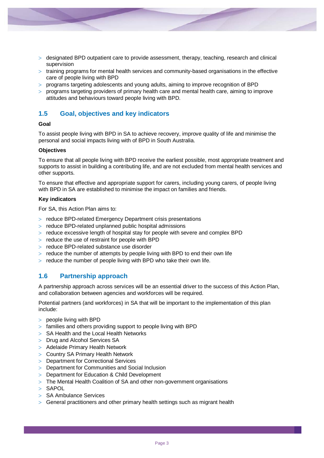- $>$  designated BPD outpatient care to provide assessment, therapy, teaching, research and clinical supervision
- > training programs for mental health services and community-based organisations in the effective care of people living with BPD
- > programs targeting adolescents and young adults, aiming to improve recognition of BPD
- $>$  programs targeting providers of primary health care and mental health care, aiming to improve attitudes and behaviours toward people living with BPD.

#### **1.5 Goal, objectives and key indicators**

#### **Goal**

To assist people living with BPD in SA to achieve recovery, improve quality of life and minimise the personal and social impacts living with of BPD in South Australia.

#### **Objectives**

To ensure that all people living with BPD receive the earliest possible, most appropriate treatment and supports to assist in building a contributing life, and are not excluded from mental health services and other supports.

To ensure that effective and appropriate support for carers, including young carers, of people living with BPD in SA are established to minimise the impact on families and friends.

#### **Key indicators**

For SA, this Action Plan aims to:

- > reduce BPD-related Emergency Department crisis presentations
- > reduce BPD-related unplanned public hospital admissions
- > reduce excessive length of hospital stay for people with severe and complex BPD
- > reduce the use of restraint for people with BPD
- > reduce BPD-related substance use disorder
- $>$  reduce the number of attempts by people living with BPD to end their own life
- $>$  reduce the number of people living with BPD who take their own life.

#### **1.6 Partnership approach**

A partnership approach across services will be an essential driver to the success of this Action Plan, and collaboration between agencies and workforces will be required.

Potential partners (and workforces) in SA that will be important to the implementation of this plan include:

- $>$  people living with BPD
- > families and others providing support to people living with BPD
- > SA Health and the Local Health Networks
- > Drug and Alcohol Services SA
- > Adelaide Primary Health Network
- > Country SA Primary Health Network
- > Department for Correctional Services
- > Department for Communities and Social Inclusion
- > Department for Education & Child Development
- > The Mental Health Coalition of SA and other non-government organisations
- $>$  SAPOL
- > SA Ambulance Services
- $>$  General practitioners and other primary health settings such as migrant health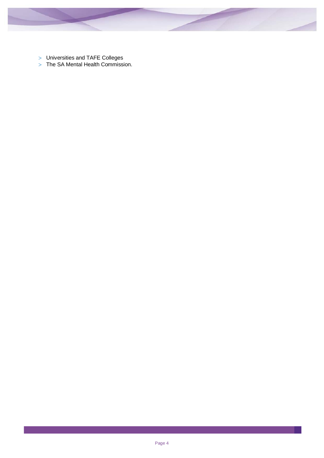- > Universities and TAFE Colleges
- > The SA Mental Health Commission.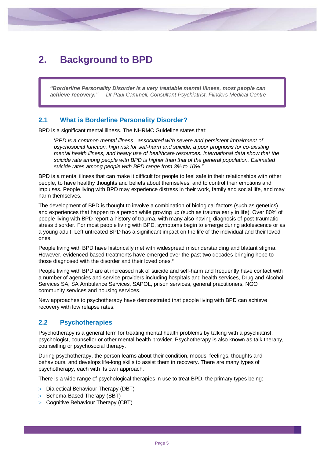## **2. Background to BPD**

*"Borderline Personality Disorder is a very treatable mental illness, most people can achieve recovery." – Dr Paul Cammell, Consultant Psychiatrist, Flinders Medical Centre*

#### **2.1 What is Borderline Personality Disorder?**

BPD is a significant mental illness. The NHRMC Guideline states that:

'*BPD is a common mental illness...associated with severe and persistent impairment of psychosocial function, high risk for self-harm and suicide, a poor prognosis for co-existing mental health illness, and heavy use of healthcare resources. International data show that the suicide rate among people with BPD is higher than that of the general population. Estimated suicide rates among people with BPD range from 3% to 10%.'[8](#page-29-7)*

BPD is a mental illness that can make it difficult for people to feel safe in their relationships with other people, to have healthy thoughts and beliefs about themselves, and to control their emotions and impulses. People living with BPD may experience distress in their work, family and social life, and may harm themselves.

The development of BPD is thought to involve a combination of biological factors (such as genetics) and experiences that happen to a person while growing up (such as trauma early in life). Over 80% of people living with BPD report a history of trauma, with many also having diagnosis of post-traumatic stress disorder. For most people living with BPD, symptoms begin to emerge during adolescence or as a young adult. Left untreated BPD has a significant impact on the life of the individual and their loved ones.

People living with BPD have historically met with widespread misunderstanding and blatant stigma. However, evidenced-based treatments have emerged over the past two decades bringing hope to those diagnosed with the disorder and their loved ones.<sup>[9](#page-29-8)</sup>

People living with BPD are at increased risk of suicide and self-harm and frequently have contact with a number of agencies and service providers including hospitals and health services, Drug and Alcohol Services SA, SA Ambulance Services, SAPOL, prison services, general practitioners, NGO community services and housing services.

New approaches to psychotherapy have demonstrated that people living with BPD can achieve recovery with low relapse rates.

#### **2.2 Psychotherapies**

Psychotherapy is a general term for treating mental health problems by talking with a psychiatrist, psychologist, counsellor or other mental health provider. Psychotherapy is also known as talk therapy, counselling or psychosocial therapy.

During psychotherapy, the person learns about their condition, moods, feelings, thoughts and behaviours, and develops life-long skills to assist them in recovery. There are many types of psychotherapy, each with its own approach.

There is a wide range of psychological therapies in use to treat BPD, the primary types being:

- > Dialectical Behaviour Therapy (DBT)
- > Schema-Based Therapy (SBT)
- > Cognitive Behaviour Therapy (CBT)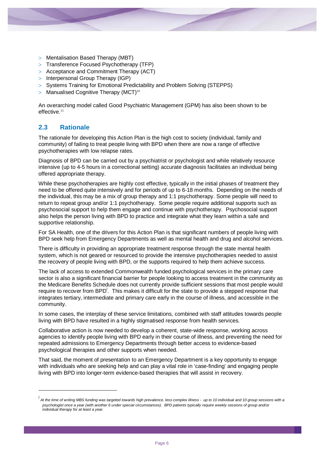- > Mentalisation Based Therapy (MBT)
- > Transference Focused Psychotherapy (TFP)
- > Acceptance and Commitment Therapy (ACT)
- > Interpersonal Group Therapy (IGP)
- > Systems Training for Emotional Predictability and Problem Solving (STEPPS)
- $>$  Manualised Cognitive Therapy (MCT)<sup>[10](#page-29-9)</sup>

An overarching model called Good Psychiatric Management (GPM) has also been shown to be effective.<sup>11</sup>

#### **2.3 Rationale**

-

The rationale for developing this Action Plan is the high cost to society (individual, family and community) of failing to treat people living with BPD when there are now a range of effective psychotherapies with low relapse rates.

Diagnosis of BPD can be carried out by a psychiatrist or psychologist and while relatively resource intensive (up to 4-5 hours in a correctional setting) accurate diagnosis facilitates an individual being offered appropriate therapy.

While these psychotherapies are highly cost effective, typically in the initial phases of treatment they need to be offered quite intensively and for periods of up to 6-18 months. Depending on the needs of the individual, this may be a mix of group therapy and 1:1 psychotherapy. Some people will need to return to repeat group and/or 1:1 psychotherapy. Some people require additional supports such as psychosocial support to help them engage and continue with psychotherapy. Psychosocial support also helps the person living with BPD to practice and integrate what they learn within a safe and supportive relationship.

For SA Health, one of the drivers for this Action Plan is that significant numbers of people living with BPD seek help from Emergency Departments as well as mental health and drug and alcohol services.

There is difficulty in providing an appropriate treatment response through the state mental health system, which is not geared or resourced to provide the intensive psychotherapies needed to assist the recovery of people living with BPD, or the supports required to help them achieve success.

The lack of access to extended Commonwealth funded psychological services in the primary care sector is also a significant financial barrier for people looking to access treatment in the community as the Medicare Benefits Schedule does not currently provide sufficient sessions that most people would requ[i](#page-9-0)re to recover from BPD<sup>i</sup>. This makes it difficult for the state to provide a stepped response that integrates tertiary, intermediate and primary care early in the course of illness, and accessible in the community.

In some cases, the interplay of these service limitations, combined with staff attitudes towards people living with BPD have resulted in a highly stigmatised response from health services.

Collaborative action is now needed to develop a coherent, state-wide response, working across agencies to identify people living with BPD early in their course of illness, and preventing the need for repeated admissions to Emergency Departments through better access to evidence-based psychological therapies and other supports when needed.

That said, the moment of presentation to an Emergency Department is a key opportunity to engage with individuals who are seeking help and can play a vital role in 'case-finding' and engaging people living with BPD into longer-term evidence-based therapies that will assist in recovery.

<span id="page-9-0"></span>*i At the time of writing MBS funding was targeted towards high prevalence, less complex illness - up to 10 individual and 10 group sessions with a psychologist once a year (with another 6 under special circumstances). BPD patients typically require weekly sessions of group and/or individual therapy for at least a year.*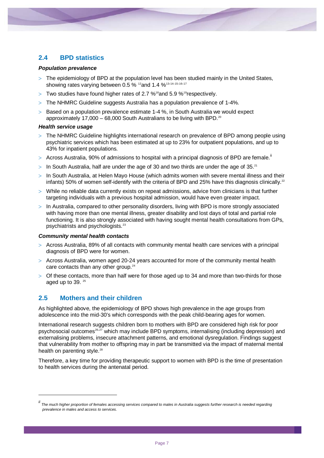### **2.4 BPD statistics**

#### *Population prevalence*

- The epidemiology of BPD at the population level has been studied mainly in the United States, showing rates varying between 0.5 % <sup>12</sup> and 1.4 %<sup>[13](#page-30-1),[14,](#page-30-2) [15](#page-30-3), [16](#page-30-4), [17](#page-30-5)</sup>
- $>$  Two studies have found higher rates of 2.7 %<sup>18</sup> and 5.9 %<sup>18</sup> respectively.
- > The NHMRC Guideline suggests Australia has a population prevalence of 1-4%.
- $>$  Based on a population prevalence estimate 1-4 %, in South Australia we would expect approximately 17,000 – 68,000 South Australians to be living with BPD. $^{20}$  $^{20}$  $^{20}$

#### *Health service usage*

- $>$  The NHMRC Guideline highlights international research on prevalence of BPD among people using psychiatric services which has been estimated at up to 23% for outpatient populations, and up to 43% for inpatient populations.
- $>$  Across Australia, 90% of admissions to hospital with a principal diagnosis of BPD are female.  $\mathsf{\ddot{}}$
- $>$  In South Australia, half are under the age of 30 and two thirds are under the age of 35. $^{21}$
- > In South Australia, at Helen Mayo House (which admits women with severe mental illness and their infants) 50% of women self-identify with the criteria of BPD and 25% have this diagnosis clinically.<sup>[22](#page-30-10)</sup>
- $>$  While no reliable data currently exists on repeat admissions, advice from clinicians is that further targeting individuals with a previous hospital admission, would have even greater impact.
- > In Australia, compared to other personality disorders, living with BPD is more strongly associated with having more than one mental illness, greater disability and lost days of total and partial role functioning. It is also strongly associated with having sought mental health consultations from GPs, psychiatrists and psychologists. [23](#page-30-11)

#### *Community mental health contacts*

- > Across Australia, 89% of all contacts with community mental health care services with a principal diagnosis of BPD were for women.
- $>$  Across Australia, women aged 20-24 years accounted for more of the community mental health care contacts than any other group.<sup>[24](#page-30-12)</sup>
- $>$  Of these contacts, more than half were for those aged up to 34 and more than two-thirds for those aged up to 39. <sup>[25](#page-31-0)</sup>

### **2.5 Mothers and their children**

-

As highlighted above, the epidemiology of BPD shows high prevalence in the age groups from adolescence into the mid-30's which corresponds with the peak child-bearing ages for women.

International research suggests children born to mothers with BPD are considered high risk for poor psychosocial outcomes<sup>[26](#page-31-1),[27](#page-31-2)</sup> which may include BPD symptoms, internalising (including depression) and externalising problems, insecure attachment patterns, and emotional dysregulation. Findings suggest that vulnerability from mother to offspring may in part be transmitted via the impact of maternal mental health on parenting style.<sup>[28](#page-31-3)</sup>

Therefore, a key time for providing therapeutic support to women with BPD is the time of presentation to health services during the antenatal period.

<span id="page-10-0"></span>*ii The much higher proportion of females accessing services compared to males in Australia suggests further research is needed regarding prevalence in males and access to services.*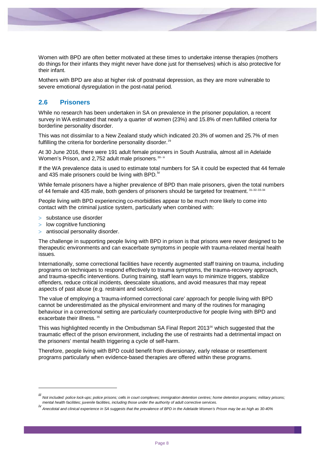Women with BPD are often better motivated at these times to undertake intense therapies (mothers do things for their infants they might never have done just for themselves) which is also protective for their infant.

Mothers with BPD are also at higher risk of postnatal depression, as they are more vulnerable to severe emotional dysregulation in the post-natal period.

#### **2.6 Prisoners**

While no research has been undertaken in SA on prevalence in the prisoner population, a recent survey in WA estimated that nearly a quarter of women (23%) and 15.8% of men fulfilled criteria for borderline personality disorder.

This was not dissimilar to a New Zealand study which indicated 20.3% of women and 25.7% of men fulfilling the criteria for borderline personality disorder.<sup>[29](#page-31-4)</sup>

At 30 June 2016, there were 191 adult female prisoners in South Australia, almost all in Adelaide Women's Prison, and 2,752 adult male prisoners.<sup>[30](#page-31-5), [iii](#page-11-0)</sup>

If the WA prevalence data is used to estimate total numbers for SA it could be expected that 44 female and 435 male prisoners could be l[iv](#page-11-1)ing with BPD.<sup>iv</sup>

While female prisoners have a higher prevalence of BPD than male prisoners, given the total numbers of 44 female and 435 male, both genders of prisoners should be targeted for treatment. [31,](#page-31-6)[32,](#page-31-7)[33,](#page-31-8)[34](#page-31-9)

People living with BPD experiencing co-morbidities appear to be much more likely to come into contact with the criminal justice system, particularly when combined with:

- > substance use disorder
- $>$  low cognitive functioning

-

> antisocial personality disorder.

The challenge in supporting people living with BPD in prison is that prisons were never designed to be therapeutic environments and can exacerbate symptoms in people with trauma-related mental health issues.

Internationally, some correctional facilities have recently augmented staff training on trauma, including programs on techniques to respond effectively to trauma symptoms, the trauma-recovery approach, and trauma-specific interventions. During training, staff learn ways to minimize triggers, stabilize offenders, reduce critical incidents, deescalate situations, and avoid measures that may repeat aspects of past abuse (e.g. restraint and seclusion).

The value of employing a 'trauma-informed correctional care' approach for people living with BPD cannot be underestimated as the physical environment and many of the routines for managing behaviour in a correctional setting are particularly counterproductive for people living with BPD and exacerbate their illness. [35](#page-31-10)

This was highlighted recently in the Ombudsman SA Final Report 2013<sup>36</sup> which suggested that the traumatic effect of the prison environment, including the use of restraints had a detrimental impact on the prisoners' mental health triggering a cycle of self-harm.

Therefore, people living with BPD could benefit from diversionary, early release or resettlement programs particularly when evidence-based therapies are offered within these programs.

<span id="page-11-0"></span>*iii Not included: police lock-ups; police prisons; cells in court complexes; immigration detention centres; home detention programs; military prisons; mental health facilities; juvenile facilities, including those under the authority of adult corrective services.*

<span id="page-11-1"></span>*iv Anecdotal and clinical experience in SA suggests that the prevalence of BPD in the Adelaide Women's Prison may be as high as 30-40%*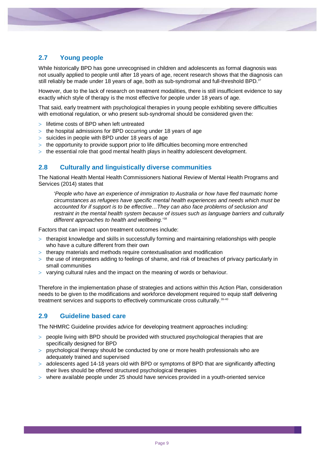### **2.7 Young people**

While historically BPD has gone unrecognised in children and adolescents as formal diagnosis was not usually applied to people until after 18 years of age, recent research shows that the diagnosis can still reliably be made under 18 years of age, both as sub-syndromal and full-threshold BPD.<sup>[37](#page-31-12)</sup>

However, due to the lack of research on treatment modalities, there is still insufficient evidence to say exactly which style of therapy is the most effective for people under 18 years of age.

That said, early treatment with psychological therapies in young people exhibiting severe difficulties with emotional regulation, or who present sub-syndromal should be considered given the:

- > lifetime costs of BPD when left untreated
- $>$  the hospital admissions for BPD occurring under 18 years of age
- > suicides in people with BPD under 18 years of age
- > the opportunity to provide support prior to life difficulties becoming more entrenched
- $>$  the essential role that good mental health plays in healthy adolescent development.

#### **2.8 Culturally and linguistically diverse communities**

The National Health Mental Health Commissioners National Review of Mental Health Programs and Services (2014) states that

'*People who have an experience of immigration to Australia or how have fled traumatic home circumstances as refugees have specific mental health experiences and needs which must be accounted for if support is to be effective…They can also face problems of seclusion and restraint in the mental health system because of issues such as language barriers and culturally different approaches to health and wellbeing.'[38](#page-32-0)*

Factors that can impact upon treatment outcomes include:

- > therapist knowledge and skills in successfully forming and maintaining relationships with people who have a culture different from their own
- $>$  therapy materials and methods require contextualisation and modification
- $>$  the use of interpreters adding to feelings of shame, and risk of breaches of privacy particularly in small communities
- > varying cultural rules and the impact on the meaning of words or behaviour.

Therefore in the implementation phase of strategies and actions within this Action Plan, consideration needs to be given to the modifications and workforce development required to equip staff delivering treatment services and supports to effectively communicate cross culturally.<sup>[39](#page-32-1),[40](#page-32-2)</sup>

#### **2.9 Guideline based care**

The NHMRC Guideline provides advice for developing treatment approaches including:

- $>$  people living with BPD should be provided with structured psychological therapies that are specifically designed for BPD
- > psychological therapy should be conducted by one or more health professionals who are adequately trained and supervised
- > adolescents aged 14-18 years old with BPD or symptoms of BPD that are significantly affecting their lives should be offered structured psychological therapies
- $>$  where available people under 25 should have services provided in a youth-oriented service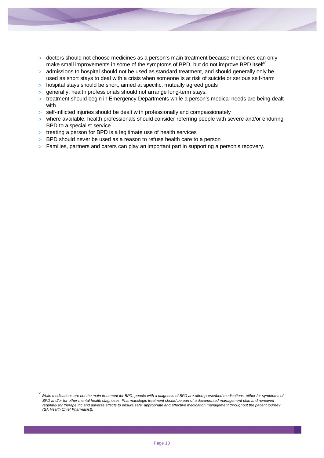- $>$  doctors should not choose medicines as a person's main treatment because medicines can only make small impro[v](#page-13-0)ements in some of the symptoms of BPD, but do not improve BPD itself<sup>V</sup>
- $>$  admissions to hospital should not be used as standard treatment, and should generally only be used as short stays to deal with a crisis when someone is at risk of suicide or serious self-harm
- > hospital stays should be short, aimed at specific, mutually agreed goals
- > generally, health professionals should not arrange long-term stays.
- $>$  treatment should begin in Emergency Departments while a person's medical needs are being dealt with
- $>$  self-inflicted injuries should be dealt with professionally and compassionately
- $>$  where available, health professionals should consider referring people with severe and/or enduring BPD to a specialist service
- $>$  treating a person for BPD is a legitimate use of health services
- > BPD should never be used as a reason to refuse health care to a person
- $>$  Families, partners and carers can play an important part in supporting a person's recovery.

<span id="page-13-0"></span>While medications are not the main treatment for BPD, people with a diagnosis of BPD are often prescribed medications, either for symptoms of *BPD and/or for other mental health diagnoses. Pharmacologic treatment should be part of a documented management plan and reviewed regularly for therapeutic and adverse effects to ensure safe, appropriate and effective medication management throughout the patient journey (SA Health Chief Pharmacist).*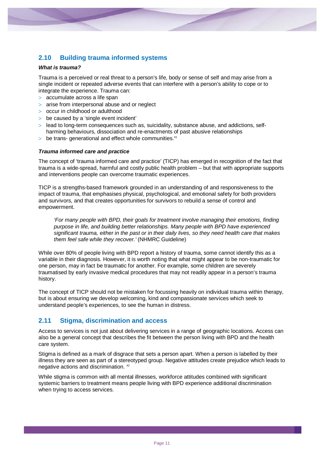### **2.10 Building trauma informed systems**

#### *What is trauma?*

Trauma is a perceived or real threat to a person's life, body or sense of self and may arise from a single incident or repeated adverse events that can interfere with a person's ability to cope or to integrate the experience. Trauma can:

- > accumulate across a life span
- > arise from interpersonal abuse and or neglect
- > occur in childhood or adulthood
- > be caused by a 'single event incident'
- $>$  lead to long-term consequences such as, suicidality, substance abuse, and addictions, selfharming behaviours, dissociation and re-enactments of past abusive relationships
- $>$  be trans- generational and effect whole communities.<sup>[41](#page-32-3)</sup>

#### *Trauma informed care and practice*

The concept of 'trauma informed care and practice' (TICP) has emerged in recognition of the fact that trauma is a wide-spread, harmful and costly public health problem – but that with appropriate supports and interventions people can overcome traumatic experiences.

TICP is a strengths-based framework grounded in an understanding of and responsiveness to the impact of trauma, that emphasises physical, psychological, and emotional safety for both providers and survivors, and that creates opportunities for survivors to rebuild a sense of control and empowerment.

*'For many people with BPD, their goals for treatment involve managing their emotions, finding purpose in life, and building better relationships. Many people with BPD have experienced significant trauma, either in the past or in their daily lives, so they need health care that makes them feel safe while they recover.'* (NHMRC Guideline)

While over 80% of people living with BPD report a history of trauma, some cannot identify this as a variable in their diagnosis. However, it is worth noting that what might appear to be non-traumatic for one person, may in fact be traumatic for another. For example, some children are severely traumatised by early invasive medical procedures that may not readily appear in a person's trauma history.

The concept of TICP should not be mistaken for focussing heavily on individual trauma within therapy, but is about ensuring we develop welcoming, kind and compassionate services which seek to understand people's experiences, to see the human in distress.

### **2.11 Stigma, discrimination and access**

Access to services is not just about delivering services in a range of geographic locations. Access can also be a general concept that describes the fit between the person living with BPD and the health care system.

Stigma is defined as a mark of disgrace that sets a person apart. When a person is labelled by their illness they are seen as part of a stereotyped group. Negative attitudes create prejudice which leads to negative actions and discrimination. [42](#page-32-4)

While stigma is common with all mental illnesses, workforce attitudes combined with significant systemic barriers to treatment means people living with BPD experience additional discrimination when trying to access services.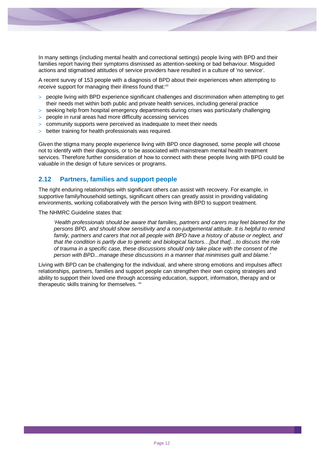In many settings (including mental health and correctional settings) people living with BPD and their families report having their symptoms dismissed as attention-seeking or bad behaviour. Misguided actions and stigmatised attitudes of service providers have resulted in a culture of 'no service'.

A recent survey of 153 people with a diagnosis of BPD about their experiences when attempting to receive support for managing their illness found that:<sup>[43](#page-32-5)</sup>

- > people living with BPD experience significant challenges and discrimination when attempting to get their needs met within both public and private health services, including general practice
- > seeking help from hospital emergency departments during crises was particularly challenging
- > people in rural areas had more difficulty accessing services
- > community supports were perceived as inadequate to meet their needs
- better training for health professionals was required.

Given the stigma many people experience living with BPD once diagnosed, some people will choose not to identify with their diagnosis, or to be associated with mainstream mental health treatment services. Therefore further consideration of how to connect with these people living with BPD could be valuable in the design of future services or programs.

#### **2.12 Partners, families and support people**

The right enduring relationships with significant others can assist with recovery. For example, in supportive family/household settings, significant others can greatly assist in providing validating environments, working collaboratively with the person living with BPD to support treatment.

The NHMRC Guideline states that:

'*Health professionals should be aware that families, partners and carers may feel blamed for the persons BPD, and should show sensitivity and a non-judgemental attitude. It is helpful to remind*  family, partners and carers that not all people with BPD have a history of abuse or neglect, and *that the condition is partly due to genetic and biological factors…[but that]…to discuss the role of trauma in a specific case, these discussions should only take place with the consent of the person with BPD...manage these discussions in a manner that minimises guilt and blame.'*

Living with BPD can be challenging for the individual, and where strong emotions and impulses affect relationships, partners, families and support people can strengthen their own coping strategies and ability to support their loved one through accessing education, support, information, therapy and or therapeutic skills training for themselves. [44](#page-32-6)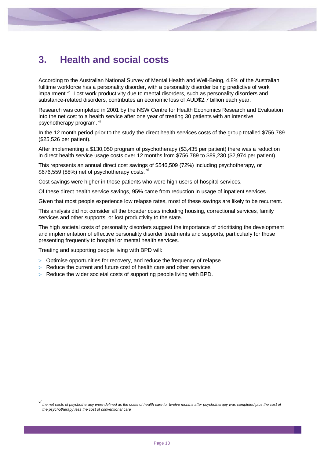## **3. Health and social costs**

According to the Australian National Survey of Mental Health and Well-Being, 4.8% of the Australian fulltime workforce has a personality disorder, with a personality disorder being predictive of work impairment.<sup>[45](#page-32-7)</sup> Lost work productivity due to mental disorders, such as personality disorders and substance-related disorders, contributes an economic loss of AUD\$2.7 billion each year.

Research was completed in 2001 by the NSW Centre for Health Economics Research and Evaluation into the net cost to a health service after one year of treating 30 patients with an intensive psychotherapy program. [46](#page-32-8)

In the 12 month period prior to the study the direct health services costs of the group totalled \$756,789 (\$25,526 per patient).

After implementing a \$130,050 program of psychotherapy (\$3,435 per patient) there was a reduction in direct health service usage costs over 12 months from \$756,789 to \$89,230 (\$2,974 per patient).

This represents an annual direct cost savings of \$546,509 (72%) including psychotherapy, or \$676,559 (88%) net of psychotherapy costs.

Cost savings were higher in those patients who were high users of hospital services.

Of these direct health service savings, 95% came from reduction in usage of inpatient services.

Given that most people experience low relapse rates, most of these savings are likely to be recurrent.

This analysis did not consider all the broader costs including housing, correctional services, family services and other supports, or lost productivity to the state.

The high societal costs of personality disorders suggest the importance of prioritising the development and implementation of effective personality disorder treatments and supports, particularly for those presenting frequently to hospital or mental health services.

Treating and supporting people living with BPD will:

- > Optimise opportunities for recovery, and reduce the frequency of relapse
- > Reduce the current and future cost of health care and other services
- > Reduce the wider societal costs of supporting people living with BPD.

<span id="page-16-0"></span>*vi the net costs of psychotherapy were defined as the costs of health care for twelve months after psychotherapy was completed plus the cost of the psychotherapy less the cost of conventional care*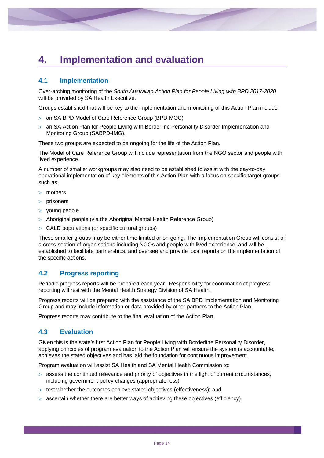## **4. Implementation and evaluation**

### **4.1 Implementation**

Over-arching monitoring of the *South Australian Action Plan for People Living with BPD 2017-2020* will be provided by SA Health Executive.

Groups established that will be key to the implementation and monitoring of this Action Plan include:

- > an SA BPD Model of Care Reference Group (BPD-MOC)
- > an SA Action Plan for People Living with Borderline Personality Disorder Implementation and Monitoring Group (SABPD-IMG).

These two groups are expected to be ongoing for the life of the Action Plan.

The Model of Care Reference Group will include representation from the NGO sector and people with lived experience.

A number of smaller workgroups may also need to be established to assist with the day-to-day operational implementation of key elements of this Action Plan with a focus on specific target groups such as:

- > mothers
- > prisoners
- > young people
- > Aboriginal people (via the Aboriginal Mental Health Reference Group)
- > CALD populations (or specific cultural groups)

These smaller groups may be either time-limited or on-going. The Implementation Group will consist of a cross-section of organisations including NGOs and people with lived experience, and will be established to facilitate partnerships, and oversee and provide local reports on the implementation of the specific actions.

### **4.2 Progress reporting**

Periodic progress reports will be prepared each year. Responsibility for coordination of progress reporting will rest with the Mental Health Strategy Division of SA Health.

Progress reports will be prepared with the assistance of the SA BPD Implementation and Monitoring Group and may include information or data provided by other partners to the Action Plan.

Progress reports may contribute to the final evaluation of the Action Plan.

### **4.3 Evaluation**

Given this is the state's first Action Plan for People Living with Borderline Personality Disorder, applying principles of program evaluation to the Action Plan will ensure the system is accountable, achieves the stated objectives and has laid the foundation for continuous improvement.

Program evaluation will assist SA Health and SA Mental Health Commission to:

- $>$  assess the continued relevance and priority of objectives in the light of current circumstances, including government policy changes (appropriateness)
- > test whether the outcomes achieve stated objectives (effectiveness); and
- $>$  ascertain whether there are better ways of achieving these objectives (efficiency).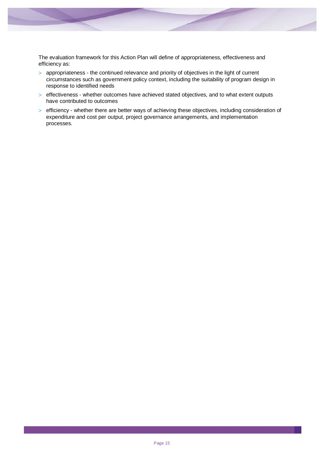The evaluation framework for this Action Plan will define of appropriateness, effectiveness and efficiency as:

- > appropriateness the continued relevance and priority of objectives in the light of current circumstances such as government policy context, including the suitability of program design in response to identified needs
- > effectiveness whether outcomes have achieved stated objectives, and to what extent outputs have contributed to outcomes
- > efficiency whether there are better ways of achieving these objectives, including consideration of expenditure and cost per output, project governance arrangements, and implementation processes.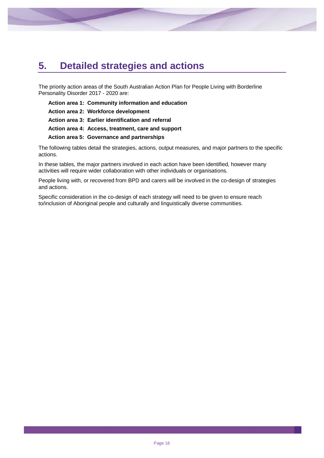## **5. Detailed strategies and actions**

The priority action areas of the South Australian Action Plan for People Living with Borderline Personality Disorder 2017 - 2020 are:

**Action area 1: Community information and education Action area 2: Workforce development Action area 3: Earlier identification and referral Action area 4: Access, treatment, care and support Action area 5: Governance and partnerships**

The following tables detail the strategies, actions, output measures, and major partners to the specific actions.

In these tables, the major partners involved in each action have been identified, however many activities will require wider collaboration with other individuals or organisations.

People living with, or recovered from BPD and carers will be involved in the co-design of strategies and actions.

Specific consideration in the co-design of each strategy will need to be given to ensure reach to/inclusion of Aboriginal people and culturally and linguistically diverse communities.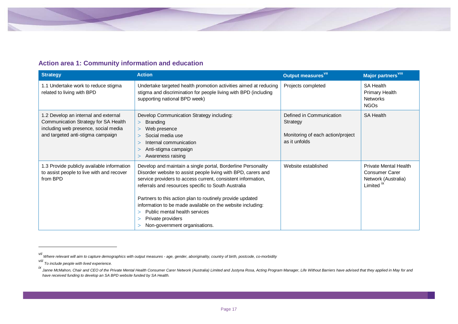

### <span id="page-20-2"></span><span id="page-20-1"></span><span id="page-20-0"></span>**Action area 1: Community information and education**

| <b>Strategy</b>                                                                                                                                           | <b>Action</b>                                                                                                                                                                                                                                                                                                                                                                                                                                                                                | Output measures <sup>vii</sup>                                                             | Major partners <sup>viii</sup>                                                                        |
|-----------------------------------------------------------------------------------------------------------------------------------------------------------|----------------------------------------------------------------------------------------------------------------------------------------------------------------------------------------------------------------------------------------------------------------------------------------------------------------------------------------------------------------------------------------------------------------------------------------------------------------------------------------------|--------------------------------------------------------------------------------------------|-------------------------------------------------------------------------------------------------------|
| 1.1 Undertake work to reduce stigma<br>related to living with BPD                                                                                         | Undertake targeted health promotion activities aimed at reducing<br>stigma and discrimination for people living with BPD (including<br>supporting national BPD week)                                                                                                                                                                                                                                                                                                                         | Projects completed                                                                         | <b>SA Health</b><br><b>Primary Health</b><br><b>Networks</b><br><b>NGOs</b>                           |
| 1.2 Develop an internal and external<br>Communication Strategy for SA Health<br>including web presence, social media<br>and targeted anti-stigma campaign | Develop Communication Strategy including:<br><b>Branding</b><br>$\rm{>}$<br>Web presence<br>Social media use<br>Internal communication<br>$\geq$<br>Anti-stigma campaign<br>Awareness raising                                                                                                                                                                                                                                                                                                | Defined in Communication<br>Strategy<br>Monitoring of each action/project<br>as it unfolds | <b>SA Health</b>                                                                                      |
| 1.3 Provide publicly available information<br>to assist people to live with and recover<br>from BPD                                                       | Develop and maintain a single portal, Borderline Personality<br>Disorder website to assist people living with BPD, carers and<br>service providers to access current, consistent information,<br>referrals and resources specific to South Australia<br>Partners to this action plan to routinely provide updated<br>information to be made available on the website including:<br>Public mental health services<br>$\rm{>}$<br>Private providers<br>$\geq$<br>Non-government organisations. | Website established                                                                        | <b>Private Mental Health</b><br><b>Consumer Carer</b><br>Network (Australia)<br>Limited <sup>IX</sup> |

*vii Where relevant will aim to capture demographics with output measures - age, gender, aboriginality, country of birth, postcode, co-morbidity*

*viii To include people with lived experience.*

ix<br>Anne McMahon, Chair and CEO of the Private Mental Health Consumer Carer Network (Australia) Limited and Justyna Rosa, Acting Program Manager, Life Without Barriers have advised that they applied in May for and *have received funding to develop an SA BPD website funded by SA Health.*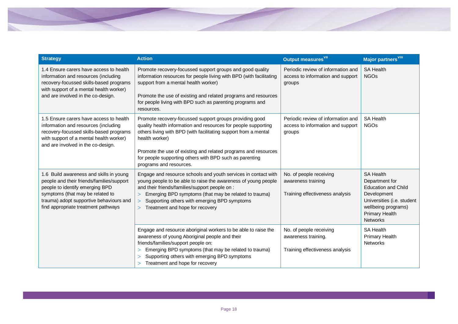

| <b>Strategy</b>                                                                                                                                                                                                                               | <b>Action</b>                                                                                                                                                                                                                                                                                                                                                          | Output measures <sup>vii</sup>                                                    | Major partners <sup>viii</sup>                                                                                                                                                   |
|-----------------------------------------------------------------------------------------------------------------------------------------------------------------------------------------------------------------------------------------------|------------------------------------------------------------------------------------------------------------------------------------------------------------------------------------------------------------------------------------------------------------------------------------------------------------------------------------------------------------------------|-----------------------------------------------------------------------------------|----------------------------------------------------------------------------------------------------------------------------------------------------------------------------------|
| 1.4 Ensure carers have access to health<br>information and resources (including<br>recovery-focussed skills-based programs<br>with support of a mental health worker)<br>and are involved in the co-design.                                   | Promote recovery-focussed support groups and good quality<br>information resources for people living with BPD (with facilitating<br>support from a mental health worker)<br>Promote the use of existing and related programs and resources<br>for people living with BPD such as parenting programs and<br>resources.                                                  | Periodic review of information and<br>access to information and support<br>groups | <b>SA Health</b><br><b>NGOs</b>                                                                                                                                                  |
| 1.5 Ensure carers have access to health<br>information and resources (including<br>recovery-focussed skills-based programs<br>with support of a mental health worker)<br>and are involved in the co-design.                                   | Promote recovery-focussed support groups providing good<br>quality health information and resources for people supporting<br>others living with BPD (with facilitating support from a mental<br>health worker)<br>Promote the use of existing and related programs and resources<br>for people supporting others with BPD such as parenting<br>programs and resources. | Periodic review of information and<br>access to information and support<br>groups | <b>SA Health</b><br><b>NGOs</b>                                                                                                                                                  |
| 1.6 Build awareness and skills in young<br>people and their friends/families/support<br>people to identify emerging BPD<br>symptoms (that may be related to<br>trauma) adopt supportive behaviours and<br>find appropriate treatment pathways | Engage and resource schools and youth services in contact with<br>young people to be able to raise the awareness of young people<br>and their friends/families/support people on :<br>Emerging BPD symptoms (that may be related to trauma)<br>Supporting others with emerging BPD symptoms<br>$\geq$<br>Treatment and hope for recovery<br>$\geq$                     | No. of people receiving<br>awareness training<br>Training effectiveness analysis  | <b>SA Health</b><br>Department for<br><b>Education and Child</b><br>Development<br>Universities (i.e. student<br>wellbeing programs)<br><b>Primary Health</b><br><b>Networks</b> |
|                                                                                                                                                                                                                                               | Engage and resource aboriginal workers to be able to raise the<br>awareness of young Aboriginal people and their<br>friends/families/support people on:<br>Emerging BPD symptoms (that may be related to trauma)<br>Supporting others with emerging BPD symptoms<br>Treatment and hope for recovery                                                                    | No. of people receiving<br>awareness training.<br>Training effectiveness analysis | <b>SA Health</b><br><b>Primary Health</b><br><b>Networks</b>                                                                                                                     |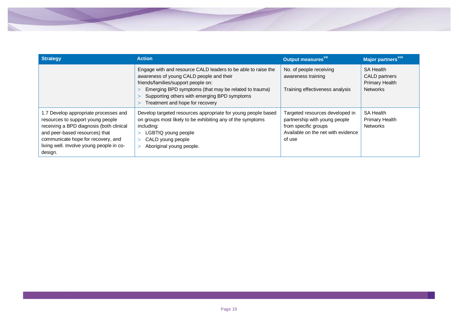

| <b>Strategy</b>                                                                                                                                                                                                                                       | <b>Action</b>                                                                                                                                                                                                                                                                                | Output measures <sup>vii</sup>                                                                                                           | Major partners <sup>viii</sup>                                         |
|-------------------------------------------------------------------------------------------------------------------------------------------------------------------------------------------------------------------------------------------------------|----------------------------------------------------------------------------------------------------------------------------------------------------------------------------------------------------------------------------------------------------------------------------------------------|------------------------------------------------------------------------------------------------------------------------------------------|------------------------------------------------------------------------|
|                                                                                                                                                                                                                                                       | Engage with and resource CALD leaders to be able to raise the<br>awareness of young CALD people and their<br>friends/families/support people on:<br>Emerging BPD symptoms (that may be related to trauma)<br>Supporting others with emerging BPD symptoms<br>Treatment and hope for recovery | No. of people receiving<br>awareness training<br>Training effectiveness analysis                                                         | SA Health<br>CALD partners<br><b>Primary Health</b><br><b>Networks</b> |
| 1.7 Develop appropriate processes and<br>resources to support young people<br>receiving a BPD diagnosis (both clinical<br>and peer-based resources) that<br>communicate hope for recovery, and<br>living well. Involve young people in co-<br>design. | Develop targeted resources appropriate for young people based<br>on groups most likely to be exhibiting any of the symptoms<br>including:<br>LGBTIQ young people<br>CALD young people<br>Aboriginal young people.                                                                            | Targeted resources developed in<br>partnership with young people<br>from specific groups<br>Available on the net with evidence<br>of use | SA Health<br>Primary Health<br><b>Networks</b>                         |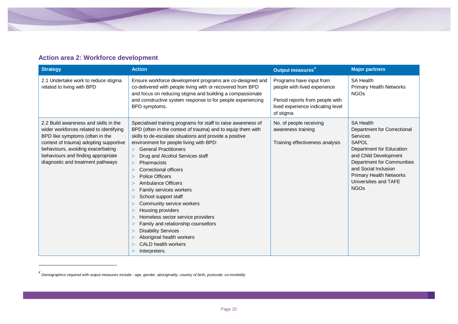

## <span id="page-23-0"></span>**Action area 2: Workforce development**

| <b>Strategy</b>                                                                                                                                                                                                                                                               | <b>Action</b>                                                                                                                                                                                                                                                                                                                                                                                                                                                                                                                                                                                                                                                                                                                                                                            | Output measures <sup>x</sup>                                                                                                                  | <b>Major partners</b>                                                                                                                                                                                                                                                   |
|-------------------------------------------------------------------------------------------------------------------------------------------------------------------------------------------------------------------------------------------------------------------------------|------------------------------------------------------------------------------------------------------------------------------------------------------------------------------------------------------------------------------------------------------------------------------------------------------------------------------------------------------------------------------------------------------------------------------------------------------------------------------------------------------------------------------------------------------------------------------------------------------------------------------------------------------------------------------------------------------------------------------------------------------------------------------------------|-----------------------------------------------------------------------------------------------------------------------------------------------|-------------------------------------------------------------------------------------------------------------------------------------------------------------------------------------------------------------------------------------------------------------------------|
| 2.1 Undertake work to reduce stigma<br>related to living with BPD                                                                                                                                                                                                             | Ensure workforce development programs are co-designed and<br>co-delivered with people living with or recovered from BPD<br>and focus on reducing stigma and building a compassionate<br>and constructive system response to for people experiencing<br>BPD symptoms.                                                                                                                                                                                                                                                                                                                                                                                                                                                                                                                     | Programs have input from<br>people with lived experience<br>Period reports from people with<br>lived experience indicating level<br>of stigma | <b>SA Health</b><br><b>Primary Health Networks</b><br><b>NGOs</b>                                                                                                                                                                                                       |
| 2.2 Build awareness and skills in the<br>wider workforces related to identifying<br>BPD like symptoms (often in the<br>context of trauma) adopting supportive<br>behaviours, avoiding exacerbating<br>behaviours and finding appropriate<br>diagnostic and treatment pathways | Specialised training programs for staff to raise awareness of<br>BPD (often in the context of trauma) and to equip them with<br>skills to de-escalate situations and provide a positive<br>environment for people living with BPD:<br><b>General Practitioners</b><br>$\geq$<br>Drug and Alcohol Services staff<br>$\geq$<br>Pharmacists<br>$\,>$<br>Correctional officers<br>$\,>$<br><b>Police Officers</b><br>$\, > \,$<br><b>Ambulance Officers</b><br>><br>Family services workers<br>><br>School support staff<br>><br>Community service workers<br>><br>Housing providers<br>><br>Homeless sector service providers<br>><br>Family and relationship counsellors<br>><br><b>Disability Services</b><br>Aboriginal health workers<br>><br>CALD health workers<br>><br>Interpreters. | No. of people receiving<br>awareness training<br>Training effectiveness analysis                                                              | <b>SA Health</b><br>Department for Correctional<br><b>Services</b><br><b>SAPOL</b><br>Department for Education<br>and Child Development<br>Department for Communities<br>and Social Inclusion<br><b>Primary Health Networks</b><br>Universities and TAFE<br><b>NGOs</b> |

*<sup>x</sup> Demographics required with output measures include - age, gender, aboriginality, country of birth, postcode, co-morbidity*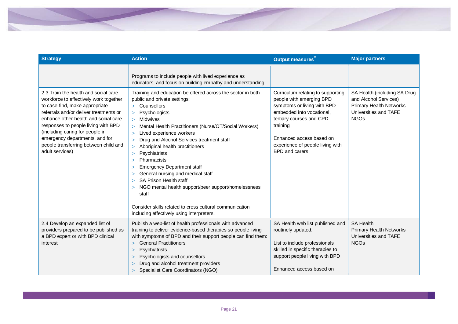

| <b>Strategy</b>                                                                                                                                                                                                                                                                                                                                                            | <b>Action</b>                                                                                                                                                                                                                                                                                                                                                                                                                                                                                                                                                                                                                                                                                                                                               | Output measures <sup>x</sup>                                                                                                                                                                                                                               | <b>Major partners</b>                                                                                                           |
|----------------------------------------------------------------------------------------------------------------------------------------------------------------------------------------------------------------------------------------------------------------------------------------------------------------------------------------------------------------------------|-------------------------------------------------------------------------------------------------------------------------------------------------------------------------------------------------------------------------------------------------------------------------------------------------------------------------------------------------------------------------------------------------------------------------------------------------------------------------------------------------------------------------------------------------------------------------------------------------------------------------------------------------------------------------------------------------------------------------------------------------------------|------------------------------------------------------------------------------------------------------------------------------------------------------------------------------------------------------------------------------------------------------------|---------------------------------------------------------------------------------------------------------------------------------|
|                                                                                                                                                                                                                                                                                                                                                                            | Programs to include people with lived experience as<br>educators, and focus on building empathy and understanding.                                                                                                                                                                                                                                                                                                                                                                                                                                                                                                                                                                                                                                          |                                                                                                                                                                                                                                                            |                                                                                                                                 |
| 2.3 Train the health and social care<br>workforce to effectively work together<br>to case-find, make appropriate<br>referrals and/or deliver treatments or<br>enhance other health and social care<br>responses to people living with BPD<br>(including caring for people in<br>emergency departments, and for<br>people transferring between child and<br>adult services) | Training and education be offered across the sector in both<br>public and private settings:<br>Counsellors<br>$\geq$<br>Psychologists<br>><br>Midwives<br>$\geq$<br>Mental Health Practitioners (Nurse/OT/Social Workers)<br>$\geq$<br>Lived experience workers<br>$\, > \,$<br>Drug and Alcohol Services treatment staff<br>$\geq$<br>Aboriginal health practitioners<br>$\geq$<br>Psychiatrists<br>$\rm{>}$<br>Pharmacists<br>$\geq$<br><b>Emergency Department staff</b><br>$\rm{>}$<br>General nursing and medical staff<br>><br>SA Prison Health staff<br>$\rm{>}$<br>NGO mental health support/peer support/homelessness<br>$\rm{>}$<br>staff<br>Consider skills related to cross cultural communication<br>including effectively using interpreters. | Curriculum relating to supporting<br>people with emerging BPD<br>symptoms or living with BPD<br>embedded into vocational,<br>tertiary courses and CPD<br>training<br>Enhanced access based on<br>experience of people living with<br><b>BPD</b> and carers | SA Health (including SA Drug<br>and Alcohol Services)<br><b>Primary Health Networks</b><br>Universities and TAFE<br><b>NGOs</b> |
| 2.4 Develop an expanded list of<br>providers prepared to be published as<br>a BPD expert or with BPD clinical<br>interest                                                                                                                                                                                                                                                  | Publish a web-list of health professionals with advanced<br>training to deliver evidence-based therapies so people living<br>with symptoms of BPD and their support people can find them:<br><b>General Practitioners</b><br>$\geq$<br>Psychiatrists<br>$\geq$<br>Psychologists and counsellors<br>$\geq$<br>Drug and alcohol treatment providers<br>><br>Specialist Care Coordinators (NGO)<br>$\rm{>}$                                                                                                                                                                                                                                                                                                                                                    | SA Health web list published and<br>routinely updated.<br>List to include professionals<br>skilled in specific therapies to<br>support people living with BPD<br>Enhanced access based on                                                                  | <b>SA Health</b><br><b>Primary Health Networks</b><br>Universities and TAFE<br><b>NGOs</b>                                      |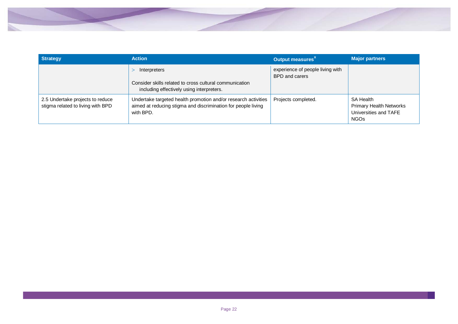

| <b>Strategy</b>                                                       | <b>Action</b>                                                                                                                                | Output measures <sup>x</sup>                       | <b>Major partners</b>                                                                      |
|-----------------------------------------------------------------------|----------------------------------------------------------------------------------------------------------------------------------------------|----------------------------------------------------|--------------------------------------------------------------------------------------------|
|                                                                       | Interpreters<br>Consider skills related to cross cultural communication<br>including effectively using interpreters.                         | experience of people living with<br>BPD and carers |                                                                                            |
| 2.5 Undertake projects to reduce<br>stigma related to living with BPD | Undertake targeted health promotion and/or research activities<br>aimed at reducing stigma and discrimination for people living<br>with BPD. | Projects completed.                                | <b>SA Health</b><br><b>Primary Health Networks</b><br>Universities and TAFE<br><b>NGOs</b> |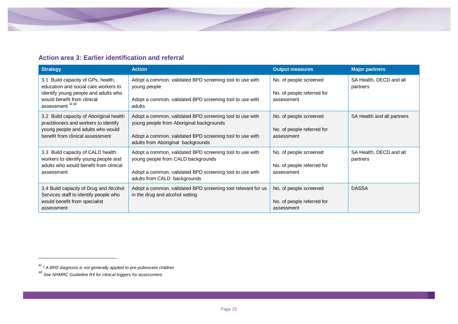

### <span id="page-26-1"></span><span id="page-26-0"></span>**Action area 3: Earlier identification and referral**

| <b>Strategy</b>                                                                                                                                                                    | <b>Action</b>                                                                                                                                                                                          | <b>Output measures</b>                                             | <b>Major partners</b>               |
|------------------------------------------------------------------------------------------------------------------------------------------------------------------------------------|--------------------------------------------------------------------------------------------------------------------------------------------------------------------------------------------------------|--------------------------------------------------------------------|-------------------------------------|
| 3.1 Build capacity of GPs, health,<br>education and social care workers to<br>identify young people and adults who<br>would benefit from clinical<br>assessment <sup>xi, xii</sup> | Adopt a common, validated BPD screening tool to use with<br>young people<br>Adopt a common, validated BPD screening tool to use with<br>adults                                                         | No. of people screened<br>No. of people referred for<br>assessment | SA Health, DECD and all<br>partners |
| 3.2 Build capacity of Aboriginal health<br>practitioners and workers to identify<br>young people and adults who would<br>benefit from clinical assessment                          | Adopt a common, validated BPD screening tool to use with<br>young people from Aboriginal backgrounds<br>Adopt a common, validated BPD screening tool to use with<br>adults from Aboriginal backgrounds | No. of people screened<br>No. of people referred for<br>assessment | SA Health and all partners          |
| 3.3 Build capacity of CALD health<br>workers to identify young people and<br>adults who would benefit from clinical<br>assessment                                                  | Adopt a common, validated BPD screening tool to use with<br>young people from CALD backgrounds<br>Adopt a common, validated BPD screening tool to use with<br>adults from CALD backgrounds             | No. of people screened<br>No. of people referred for<br>assessment | SA Health, DECD and all<br>partners |
| 3.4 Build capacity of Drug and Alcohol<br>Services staff to identify people who<br>would benefit from specialist<br>assessment                                                     | Adopt a common, validated BPD screening tool relevant for us<br>in the drug and alcohol setting                                                                                                        | No. of people screened<br>No. of people referred for<br>assessment | <b>DASSA</b>                        |

*xi \* A BPD diagnosis is not generally applied to pre-pubescent children*

*xii See NHMRC Guideline R4 for clinical triggers for assessment.*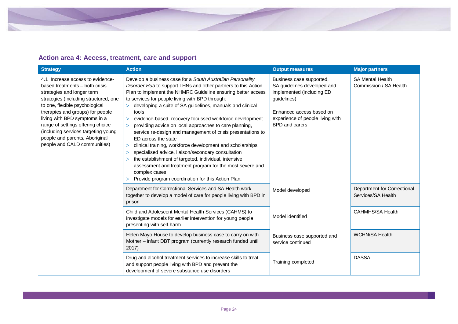## **Action area 4: Access, treatment, care and support**

| <b>Strategy</b>                                                                                                                                                                                                                                                                                                                                                                                | <b>Action</b>                                                                                                                                                                                                                                                                                                                                                                                                                                                                                                                                                                                                                                                                                                                                                                                                                                                                          | <b>Output measures</b>                                                                                                                                                                       | <b>Major partners</b>                             |
|------------------------------------------------------------------------------------------------------------------------------------------------------------------------------------------------------------------------------------------------------------------------------------------------------------------------------------------------------------------------------------------------|----------------------------------------------------------------------------------------------------------------------------------------------------------------------------------------------------------------------------------------------------------------------------------------------------------------------------------------------------------------------------------------------------------------------------------------------------------------------------------------------------------------------------------------------------------------------------------------------------------------------------------------------------------------------------------------------------------------------------------------------------------------------------------------------------------------------------------------------------------------------------------------|----------------------------------------------------------------------------------------------------------------------------------------------------------------------------------------------|---------------------------------------------------|
| 4.1 Increase access to evidence-<br>based treatments - both crisis<br>strategies and longer term<br>strategies (including structured, one<br>to one, flexible psychological<br>therapies and groups) for people<br>living with BPD symptoms in a<br>range of settings offering choice<br>(including services targeting young<br>people and parents, Aboriginal<br>people and CALD communities) | Develop a business case for a South Australian Personality<br>Disorder Hub to support LHNs and other partners to this Action<br>Plan to implement the NHMRC Guideline ensuring better access<br>to services for people living with BPD through:<br>developing a suite of SA guidelines, manuals and clinical<br>tools<br>evidence-based, recovery focussed workforce development<br>$\geq$<br>providing advice on local approaches to care planning,<br>service re-design and management of crisis presentations to<br>ED across the state<br>clinical training, workforce development and scholarships<br>$\geq$<br>specialised advice, liaison/secondary consultation<br>$\geq$<br>the establishment of targeted, individual, intensive<br>$\geq$<br>assessment and treatment program for the most severe and<br>complex cases<br>Provide program coordination for this Action Plan. | Business case supported,<br>SA guidelines developed and<br>implemented (including ED<br>guidelines)<br>Enhanced access based on<br>experience of people living with<br><b>BPD</b> and carers | <b>SA Mental Health</b><br>Commission / SA Health |
|                                                                                                                                                                                                                                                                                                                                                                                                | Department for Correctional Services and SA Health work<br>together to develop a model of care for people living with BPD in<br>prison                                                                                                                                                                                                                                                                                                                                                                                                                                                                                                                                                                                                                                                                                                                                                 | Model developed                                                                                                                                                                              | Department for Correctional<br>Services/SA Health |
|                                                                                                                                                                                                                                                                                                                                                                                                | Child and Adolescent Mental Health Services (CAHMS) to<br>investigate models for earlier intervention for young people<br>presenting with self-harm                                                                                                                                                                                                                                                                                                                                                                                                                                                                                                                                                                                                                                                                                                                                    | Model identified                                                                                                                                                                             | <b>CAHMHS/SA Health</b>                           |
|                                                                                                                                                                                                                                                                                                                                                                                                | Helen Mayo House to develop business case to carry on with<br>Mother - infant DBT program (currently research funded until<br>2017)                                                                                                                                                                                                                                                                                                                                                                                                                                                                                                                                                                                                                                                                                                                                                    | Business case supported and<br>service continued                                                                                                                                             | <b>WCHN/SA Health</b>                             |
|                                                                                                                                                                                                                                                                                                                                                                                                | Drug and alcohol treatment services to increase skills to treat<br>and support people living with BPD and prevent the<br>development of severe substance use disorders                                                                                                                                                                                                                                                                                                                                                                                                                                                                                                                                                                                                                                                                                                                 | Training completed                                                                                                                                                                           | <b>DASSA</b>                                      |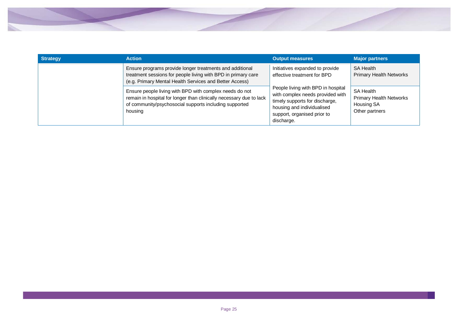

| <b>Strategy</b> | <b>Action</b>                                                                                                                                                                                       | Output measures                                                                                                                                                                     | <b>Major partners</b>                                                              |
|-----------------|-----------------------------------------------------------------------------------------------------------------------------------------------------------------------------------------------------|-------------------------------------------------------------------------------------------------------------------------------------------------------------------------------------|------------------------------------------------------------------------------------|
|                 | Ensure programs provide longer treatments and additional<br>treatment sessions for people living with BPD in primary care<br>(e.g. Primary Mental Health Services and Better Access)                | Initiatives expanded to provide<br>effective treatment for BPD                                                                                                                      | SA Health<br><b>Primary Health Networks</b>                                        |
|                 | Ensure people living with BPD with complex needs do not<br>remain in hospital for longer than clinically necessary due to lack<br>of community/psychosocial supports including supported<br>housing | People living with BPD in hospital<br>with complex needs provided with<br>timely supports for discharge,<br>housing and individualised<br>support, organised prior to<br>discharge. | <b>SA Health</b><br><b>Primary Health Networks</b><br>Housing SA<br>Other partners |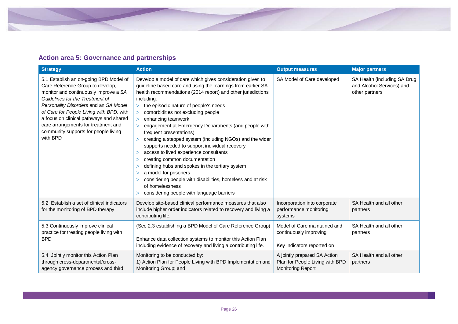## **Action area 5: Governance and partnerships**

<span id="page-29-10"></span><span id="page-29-9"></span><span id="page-29-8"></span><span id="page-29-7"></span><span id="page-29-6"></span><span id="page-29-5"></span><span id="page-29-4"></span><span id="page-29-3"></span><span id="page-29-2"></span><span id="page-29-1"></span><span id="page-29-0"></span>

| <b>Strategy</b>                                                                                                                                                                                                                                                                                                                                                                   | <b>Action</b>                                                                                                                                                                                                                                                                                                                                                                                                                                                                                                                                                                                                                                                                                                                                                                                                                                                                     | <b>Output measures</b>                                                                      | <b>Major partners</b>                                                       |
|-----------------------------------------------------------------------------------------------------------------------------------------------------------------------------------------------------------------------------------------------------------------------------------------------------------------------------------------------------------------------------------|-----------------------------------------------------------------------------------------------------------------------------------------------------------------------------------------------------------------------------------------------------------------------------------------------------------------------------------------------------------------------------------------------------------------------------------------------------------------------------------------------------------------------------------------------------------------------------------------------------------------------------------------------------------------------------------------------------------------------------------------------------------------------------------------------------------------------------------------------------------------------------------|---------------------------------------------------------------------------------------------|-----------------------------------------------------------------------------|
| 5.1 Establish an on-going BPD Model of<br>Care Reference Group to develop,<br>monitor and continuously improve a SA<br>Guidelines for the Treatment of<br>Personality Disorders and an SA Model<br>of Care for People Living with BPD, with<br>a focus on clinical pathways and shared<br>care arrangements for treatment and<br>community supports for people living<br>with BPD | Develop a model of care which gives consideration given to<br>guideline based care and using the learnings from earlier SA<br>health recommendations (2014 report) and other jurisdictions<br>including:<br>the episodic nature of people's needs<br>comorbidities not excluding people<br>$\geq$<br>enhancing teamwork<br>$\geq$<br>engagement at Emergency Departments (and people with<br>frequent presentations)<br>creating a stepped system (including NGOs) and the wider<br>$\rm{>}$<br>supports needed to support individual recovery<br>access to lived experience consultants<br>creating common documentation<br>><br>defining hubs and spokes in the tertiary system<br>$\rm{>}$<br>a model for prisoners<br>><br>considering people with disabilities, homeless and at risk<br>$\rm{>}$<br>of homelessness<br>considering people with language barriers<br>$\rm{>}$ | SA Model of Care developed                                                                  | SA Health (including SA Drug<br>and Alcohol Services) and<br>other partners |
| 5.2 Establish a set of clinical indicators<br>for the monitoring of BPD therapy                                                                                                                                                                                                                                                                                                   | Develop site-based clinical performance measures that also<br>include higher order indicators related to recovery and living a<br>contributing life.                                                                                                                                                                                                                                                                                                                                                                                                                                                                                                                                                                                                                                                                                                                              | Incorporation into corporate<br>performance monitoring<br>systems                           | SA Health and all other<br>partners                                         |
| 5.3 Continuously improve clinical<br>practice for treating people living with<br><b>BPD</b>                                                                                                                                                                                                                                                                                       | (See 2.3 establishing a BPD Model of Care Reference Group)<br>Enhance data collection systems to monitor this Action Plan<br>including evidence of recovery and living a contributing life.                                                                                                                                                                                                                                                                                                                                                                                                                                                                                                                                                                                                                                                                                       | Model of Care maintained and<br>continuously improving<br>Key indicators reported on        | SA Health and all other<br>partners                                         |
| 5.4 Jointly monitor this Action Plan<br>through cross-departmental/cross-<br>agency governance process and third                                                                                                                                                                                                                                                                  | Monitoring to be conducted by:<br>1) Action Plan for People Living with BPD Implementation and<br>Monitoring Group; and                                                                                                                                                                                                                                                                                                                                                                                                                                                                                                                                                                                                                                                                                                                                                           | A jointly prepared SA Action<br>Plan for People Living with BPD<br><b>Monitoring Report</b> | SA Health and all other<br>partners                                         |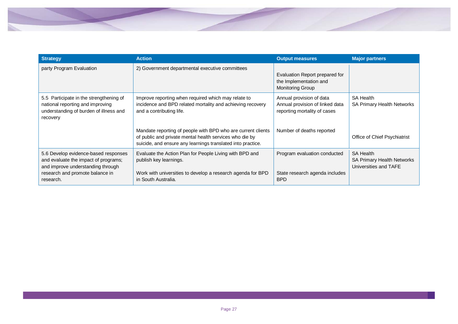

<span id="page-30-12"></span><span id="page-30-11"></span><span id="page-30-10"></span><span id="page-30-9"></span><span id="page-30-8"></span><span id="page-30-7"></span><span id="page-30-6"></span><span id="page-30-5"></span><span id="page-30-4"></span><span id="page-30-3"></span><span id="page-30-2"></span><span id="page-30-1"></span><span id="page-30-0"></span>

| <b>Strategy</b>                                                                                                                   | <b>Action</b>                                                                                                                                                                          | <b>Output measures</b>                                                                      | <b>Major partners</b>                                                          |
|-----------------------------------------------------------------------------------------------------------------------------------|----------------------------------------------------------------------------------------------------------------------------------------------------------------------------------------|---------------------------------------------------------------------------------------------|--------------------------------------------------------------------------------|
| party Program Evaluation                                                                                                          | 2) Government departmental executive committees                                                                                                                                        | Evaluation Report prepared for<br>the Implementation and<br>Monitoring Group                |                                                                                |
| 5.5 Participate in the strengthening of<br>national reporting and improving<br>understanding of burden of illness and<br>recovery | Improve reporting when required which may relate to<br>incidence and BPD related mortality and achieving recovery<br>and a contributing life.                                          | Annual provision of data<br>Annual provision of linked data<br>reporting mortality of cases | <b>SA Health</b><br><b>SA Primary Health Networks</b>                          |
|                                                                                                                                   | Mandate reporting of people with BPD who are current clients<br>of public and private mental health services who die by<br>suicide, and ensure any learnings translated into practice. | Number of deaths reported                                                                   | Office of Chief Psychiatrist                                                   |
| 5.6 Develop evidence-based responses<br>and evaluate the impact of programs;<br>and improve understanding through                 | Evaluate the Action Plan for People Living with BPD and<br>publish key learnings.                                                                                                      | Program evaluation conducted                                                                | <b>SA Health</b><br><b>SA Primary Health Networks</b><br>Universities and TAFE |
| research and promote balance in<br>research.                                                                                      | Work with universities to develop a research agenda for BPD<br>in South Australia.                                                                                                     | State research agenda includes<br><b>BPD</b>                                                |                                                                                |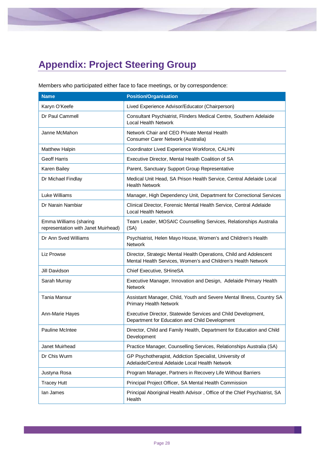# <span id="page-31-0"></span>**Appendix: Project Steering Group**

Members who participated either face to face meetings, or by correspondence:

<span id="page-31-12"></span><span id="page-31-11"></span><span id="page-31-10"></span><span id="page-31-9"></span><span id="page-31-8"></span><span id="page-31-7"></span><span id="page-31-6"></span><span id="page-31-5"></span><span id="page-31-4"></span><span id="page-31-3"></span><span id="page-31-2"></span><span id="page-31-1"></span>

| <b>Name</b>                                                   | <b>Position/Organisation</b>                                                                                                        |
|---------------------------------------------------------------|-------------------------------------------------------------------------------------------------------------------------------------|
| Karyn O'Keefe                                                 | Lived Experience Advisor/Educator (Chairperson)                                                                                     |
| Dr Paul Cammell                                               | Consultant Psychiatrist, Flinders Medical Centre, Southern Adelaide<br>Local Health Network                                         |
| Janne McMahon                                                 | Network Chair and CEO Private Mental Health<br>Consumer Carer Network (Australia)                                                   |
| Matthew Halpin                                                | Coordinator Lived Experience Workforce, CALHN                                                                                       |
| <b>Geoff Harris</b>                                           | Executive Director, Mental Health Coalition of SA                                                                                   |
| Karen Bailey                                                  | Parent, Sanctuary Support Group Representative                                                                                      |
| Dr Michael Findlay                                            | Medical Unit Head, SA Prison Health Service, Central Adelaide Local<br><b>Health Network</b>                                        |
| Luke Williams                                                 | Manager, High Dependency Unit, Department for Correctional Services                                                                 |
| Dr Narain Nambiar                                             | Clinical Director, Forensic Mental Health Service, Central Adelaide<br>Local Health Network                                         |
| Emma Williams (sharing<br>representation with Janet Muirhead) | Team Leader, MOSAIC Counselling Services, Relationships Australia<br>(SA)                                                           |
| Dr Ann Sved Williams                                          | Psychiatrist, Helen Mayo House, Women's and Children's Health<br>Network                                                            |
| Liz Prowse                                                    | Director, Strategic Mental Health Operations, Child and Adolescent<br>Mental Health Services, Women's and Children's Health Network |
| Jill Davidson                                                 | Chief Executive, SHineSA                                                                                                            |
| Sarah Murray                                                  | Executive Manager, Innovation and Design, Adelaide Primary Health<br>Network                                                        |
| <b>Tania Mansur</b>                                           | Assistant Manager, Child, Youth and Severe Mental Illness, Country SA<br>Primary Health Network                                     |
| Ann-Marie Hayes                                               | Executive Director, Statewide Services and Child Development,<br>Department for Education and Child Development                     |
| Pauline McIntee                                               | Director, Child and Family Health, Department for Education and Child<br>Development                                                |
| Janet Muirhead                                                | Practice Manager, Counselling Services, Relationships Australia (SA)                                                                |
| Dr Chis Wurm                                                  | GP Psychotherapist, Addiction Specialist, University of<br>Adelaide/Central Adelaide Local Health Network                           |
| Justyna Rosa                                                  | Program Manager, Partners in Recovery Life Without Barriers                                                                         |
| <b>Tracey Hutt</b>                                            | Principal Project Officer, SA Mental Health Commission                                                                              |
| lan James                                                     | Principal Aboriginal Health Advisor, Office of the Chief Psychiatrist, SA<br>Health                                                 |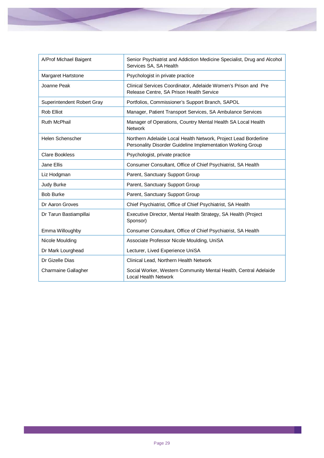<span id="page-32-8"></span><span id="page-32-7"></span><span id="page-32-6"></span><span id="page-32-5"></span><span id="page-32-4"></span><span id="page-32-3"></span><span id="page-32-2"></span><span id="page-32-1"></span><span id="page-32-0"></span>

| A/Prof Michael Baigent     | Senior Psychiatrist and Addiction Medicine Specialist, Drug and Alcohol<br>Services SA, SA Health                              |
|----------------------------|--------------------------------------------------------------------------------------------------------------------------------|
| Margaret Hartstone         | Psychologist in private practice                                                                                               |
| Joanne Peak                | Clinical Services Coordinator, Adelaide Women's Prison and Pre<br>Release Centre, SA Prison Health Service                     |
| Superintendent Robert Gray | Portfolios, Commissioner's Support Branch, SAPOL                                                                               |
| <b>Rob Elliot</b>          | Manager, Patient Transport Services, SA Ambulance Services                                                                     |
| <b>Ruth McPhail</b>        | Manager of Operations, Country Mental Health SA Local Health<br><b>Network</b>                                                 |
| Helen Schenscher           | Northern Adelaide Local Health Network, Project Lead Borderline<br>Personality Disorder Guideline Implementation Working Group |
| <b>Clare Bookless</b>      | Psychologist, private practice                                                                                                 |
| Jane Ellis                 | Consumer Consultant, Office of Chief Psychiatrist, SA Health                                                                   |
| Liz Hodgman                | Parent, Sanctuary Support Group                                                                                                |
| Judy Burke                 | Parent, Sanctuary Support Group                                                                                                |
| <b>Bob Burke</b>           | Parent, Sanctuary Support Group                                                                                                |
| Dr Aaron Groves            | Chief Psychiatrist, Office of Chief Psychiatrist, SA Health                                                                    |
| Dr Tarun Bastiampillai     | Executive Director, Mental Health Strategy, SA Health (Project<br>Sponsor)                                                     |
| Emma Willoughby            | Consumer Consultant, Office of Chief Psychiatrist, SA Health                                                                   |
| Nicole Moulding            | Associate Professor Nicole Moulding, UniSA                                                                                     |
| Dr Mark Lourghead          | Lecturer, Lived Experience UniSA                                                                                               |
| Dr Gizelle Dias            | Clinical Lead, Northern Health Network                                                                                         |
| <b>Charmaine Gallagher</b> | Social Worker, Western Community Mental Health, Central Adelaide<br><b>Local Health Network</b>                                |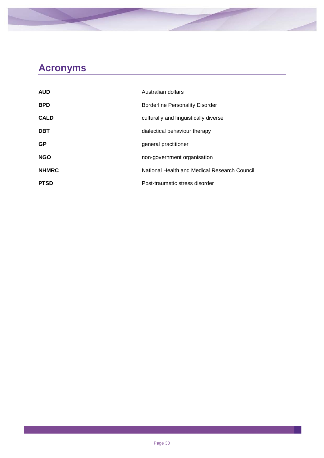# **Acronyms**

| <b>AUD</b>   | Australian dollars                           |
|--------------|----------------------------------------------|
| <b>BPD</b>   | <b>Borderline Personality Disorder</b>       |
| <b>CALD</b>  | culturally and linguistically diverse        |
| <b>DBT</b>   | dialectical behaviour therapy                |
| <b>GP</b>    | general practitioner                         |
| <b>NGO</b>   | non-government organisation                  |
| <b>NHMRC</b> | National Health and Medical Research Council |
| <b>PTSD</b>  | Post-traumatic stress disorder               |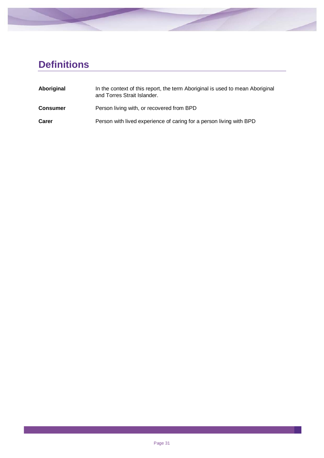## **Definitions**

| Aboriginal      | In the context of this report, the term Aboriginal is used to mean Aboriginal<br>and Torres Strait Islander. |
|-----------------|--------------------------------------------------------------------------------------------------------------|
| <b>Consumer</b> | Person living with, or recovered from BPD                                                                    |
| Carer           | Person with lived experience of caring for a person living with BPD                                          |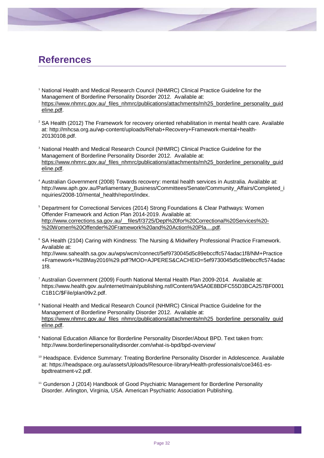## **References**

- <sup>1</sup> National Health and Medical Research Council (NHMRC) Clinical Practice Guideline for the Management of Borderline Personality Disorder 2012. Available at: https://www.nhmrc.gov.au/\_files\_nhmrc/publications/attachments/mh25\_borderline\_personality\_quid [eline.pdf.](https://www.nhmrc.gov.au/_files_nhmrc/publications/attachments/mh25_borderline_personality_guideline.pdf)
- <sup>2</sup> SA Health (2012) The Framework for recovery oriented rehabilitation in mental health care. Available at: http://mhcsa.org.au/wp-content/uploads/Rehab+Recovery+Framework-mental+health-20130108.pdf.
- <sup>3</sup> National Health and Medical Research Council (NHMRC) Clinical Practice Guideline for the Management of Borderline Personality Disorder 2012. Available at: https://www.nhmrc.gov.au/\_files\_nhmrc/publications/attachments/mh25\_borderline\_personality\_quid [eline.pdf.](https://www.nhmrc.gov.au/_files_nhmrc/publications/attachments/mh25_borderline_personality_guideline.pdf)
- <sup>4</sup> Australian Government (2008) Towards recovery: mental health services in Australia. Available at: http://www.aph.gov.au/Parliamentary\_Business/Committees/Senate/Community\_Affairs/Completed\_i nquiries/2008-10/mental\_health/report/index.
- <sup>5</sup> Department for Correctional Services (2014) Strong Foundations & Clear Pathways: Women Offender Framework and Action Plan 2014-2019. Available at: [http://www.corrections.sa.gov.au/\\_\\_files/f/3725/Dept%20for%20Correctional%20Services%20-](http://www.corrections.sa.gov.au/__files/f/3725/Dept%20for%20Correctional%20Services%20-%20Women%20Offender%20Framework%20and%20Action%20Pla....pdf) [%20Women%20Offender%20Framework%20and%20Action%20Pla....pdf.](http://www.corrections.sa.gov.au/__files/f/3725/Dept%20for%20Correctional%20Services%20-%20Women%20Offender%20Framework%20and%20Action%20Pla....pdf)
- <sup>6</sup> SA Health (2104) Caring with Kindness: The Nursing & Midwifery Professional Practice Framework. Available at: http://www.sahealth.sa.gov.au/wps/wcm/connect/5ef9730045d5c89ebccffc574adac1f8/NM+Practice +Framework+%28May2016%29.pdf?MOD=AJPERES&CACHEID=5ef9730045d5c89ebccffc574adac 1f8.
- <sup>7</sup> Australian Government (2009) Fourth National Mental Health Plan 2009-2014. Available at: https://www.health.gov.au/internet/main/publishing.nsf/Content/9A5A0E8BDFC55D3BCA257BF0001 C1B1C/\$File/plan09v2.pdf.
- <sup>8</sup> National Health and Medical Research Council (NHMRC) Clinical Practice Guideline for the Management of Borderline Personality Disorder 2012. Available at: [https://www.nhmrc.gov.au/\\_files\\_nhmrc/publications/attachments/mh25\\_borderline\\_personality\\_guid](https://www.nhmrc.gov.au/_files_nhmrc/publications/attachments/mh25_borderline_personality_guideline.pdf) [eline.pdf.](https://www.nhmrc.gov.au/_files_nhmrc/publications/attachments/mh25_borderline_personality_guideline.pdf)
- <sup>9</sup> National Education Alliance for Borderline Personality Disorder/About BPD. Text taken from: http://www.borderlinepersonalitydisorder.com/what-is-bpd/bpd-overview/
- <sup>10</sup> Headspace. Evidence Summary: Treating Borderline Personality Disorder in Adolescence. Available at: https://headspace.org.au/assets/Uploads/Resource-library/Health-professionals/coe3461-esbpdtreatment-v2.pdf.
- <sup>11</sup> Gunderson J (2014) Handbook of Good Psychiatric Management for Borderline Personality Disorder. Arlington, Virginia, USA. American Psychiatric Association Publishing.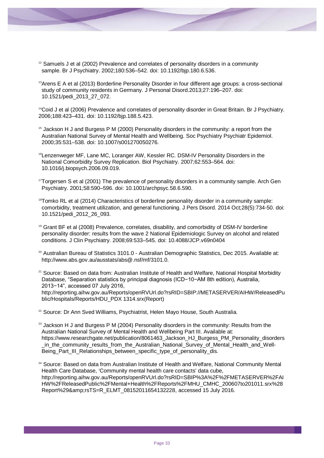- $12$  Samuels J et al (2002) Prevalence and correlates of personality disorders in a community sample. Br J Psychiatry. 2002;180:536–542. doi: 10.1192/bjp.180.6.536.
- <sup>13</sup> Arens E A et al (2013) Borderline Personality Disorder in four different age groups: a cross-sectional study of community residents in Germany. J Personal Disord.2013;27:196–207. doi: 10.1521/pedi\_2013\_27\_072.

14Coid J et al (2006) Prevalence and correlates of personality disorder in Great Britain. Br J Psychiatry. 2006;188:423–431. doi: 10.1192/bjp.188.5.423.

- <sup>15</sup> Jackson H J and Burgess P M (2000) Personality disorders in the community: a report from the Australian National Survey of Mental Health and Wellbeing. Soc Psychiatry Psychiatr Epidemiol. 2000;35:531–538. doi: 10.1007/s001270050276.
- <sup>16</sup>Lenzenweger MF, Lane MC, Loranger AW, Kessler RC, DSM-IV Personality Disorders in the National Comorbidity Survey Replication. Biol Psychiatry. 2007;62:553–564. doi: 10.1016/j.biopsych.2006.09.019.
- <sup>17</sup>Torgersen S et al (2001) The prevalence of personality disorders in a community sample. Arch Gen Psychiatry. 2001;58:590–596. doi: 10.1001/archpsyc.58.6.590.
- <sup>18</sup>Tomko RL et al (2014) Characteristics of borderline personality disorder in a community sample: comorbidity, treatment utilization, and general functioning. J Pers Disord. 2014 Oct;28(5):734-50. doi: 10.1521/pedi\_2012\_26\_093.
- <sup>19</sup> Grant BF et al (2008) Prevalence, correlates, disability, and comorbidity of DSM-IV borderline personality disorder: results from the wave 2 National Epidemiologic Survey on alcohol and related conditions. J Clin Psychiatry. 2008;69:533–545. doi: 10.4088/JCP.v69n0404
- <sup>20</sup> Australian Bureau of Statistics 3101.0 Australian Demographic Statistics, Dec 2015. Available at: http://www.abs.gov.au/ausstats/abs@.nsf/mf/3101.0.
- <sup>21</sup> Source: Based on data from: Australian Institute of Health and Welfare, National Hospital Morbidity Database, "Separation statistics by principal diagnosis (ICD−10−AM 8th edition), Australia, 2013−14", accessed 07 July 2016, http://reporting.aihw.gov.au/Reports/openRVUrl.do?rsRID=SBIP://METASERVER/AIHW/ReleasedPu blic/Hospitals/Reports/HDU\_PDX 1314.srx(Report)
- <sup>22</sup> Source: Dr Ann Sved Williams, Psychiatrist, Helen Mayo House, South Australia.
- <sup>23</sup> Jackson H J and Burgess P M (2004) Personality disorders in the community: Results from the Australian National Survey of Mental Health and Wellbeing Part III. Available at: https://www.researchgate.net/publication/8061463\_Jackson\_HJ\_Burgess\_PM\_Personality\_disorders in the community results from the Australian National Survey of Mental Health and Well-Being\_Part\_III\_Relationships\_between\_specific\_type\_of\_personality\_dis.
- <sup>24</sup> Source: Based on data from Australian Institute of Health and Welfare, National Community Mental Health Care Database, 'Community mental health care contacts' data cube, http://reporting.aihw.gov.au/Reports/openRVUrl.do?rsRID=SBIP%3A%2F%2FMETASERVER%2FAI HW%2FReleasedPublic%2FMental+Health%2FReports%2FMHU\_CMHC\_200607to201011.srx%28 Report%29&amp:rsTS=R\_ELMT\_08152011654132228, accessed 15 July 2016.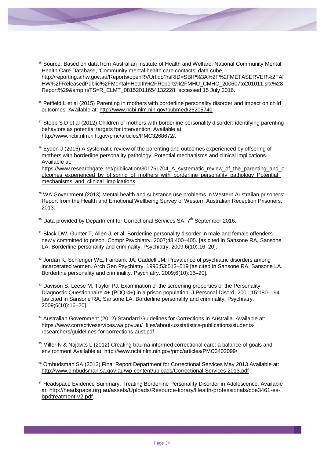<sup>25</sup> Source: Based on data from Australian Institute of Health and Welfare, National Community Mental Health Care Database, 'Community mental health care contacts' data cube, http://reporting.aihw.gov.au/Reports/openRVUrl.do?rsRID=SBIP%3A%2F%2FMETASERVER%2FAI HW%2FReleasedPublic%2FMental+Health%2FReports%2FMHU\_CMHC\_200607to201011.srx%28 Report%29&rsTS=R\_ELMT\_08152011654132228, accessed 15 July 2016.

- <sup>26</sup> Petfield L et al (2015) Parenting in mothers with borderline personality disorder and impact on child outcomes. Available at[: http://www.ncbi.nlm.nih.gov/pubmed/26205740](http://www.ncbi.nlm.nih.gov/pubmed/26205740)
- <sup>27</sup> Stepp S D et al (2012) Children of mothers with borderline personality disorder: identifying parenting behaviors as potential targets for intervention. Available at: http://www.ncbi.nlm.nih.gov/pmc/articles/PMC3268672/.

<sup>28</sup> Eyden J (2016) A systematic review of the parenting and outcomes experienced by offspring of mothers with borderline personality pathology: Potential mechanisms and clinical implications. Available at:

https://www.researchgate.net/publication/301761704 A systematic review of the parenting and o utcomes experienced by offspring of mothers with borderline personality pathology Potential mechanisms and clinical implications

- <sup>29</sup> WA Government (2013) Mental health and substance use problems in Western Australian prisoners: Report from the Health and Emotional Wellbeing Survey of Western Australian Reception Prisoners, 2013.
- $30$  Data provided by Department for Correctional Services SA,  $7<sup>th</sup>$  September 2016.
- <sup>31</sup> Black DW, Gunter T, Allen J, et al. Borderline personality disorder in male and female offenders newly committed to prison. Compr Psychiatry. 2007;48:400–405. [as cited in Sansone RA, Sansone LA. Borderline personality and criminality. Psychiatry. 2009;6(10):16–20].
- <sup>32</sup> Jordan K. Schlenger WE, Fairbank JA, Caddell JM. Prevalence of psychiatric disorders among incarcerated women. Arch Gen Psychiatry. 1996;53:513–519 [as cited in Sansone RA, Sansone LA. Borderline personality and criminality. Psychiatry. 2009;6(10):16–20].
- <sup>33</sup> Davison S, Leese M, Taylor PJ. Examination of the screening properties of the Personality Diagnostic Questionnaire 4+ (PDQ-4+) in a prison population. J Personal Disord. 2001;15:180–194 [as cited in Sansone RA, Sansone LA. Borderline personality and criminality. Psychiatry. 2009;6(10):16–20].
- <sup>34</sup> Australian Government (2012) Standard Guidelines for Corrections in Australia. Available at: https://www.correctiveservices.wa.gov.au/\_files/about-us/statistics-publications/studentsresearchers/guidelines-for-corrections-aust.pdf
- <sup>35</sup> Miller N & Najavits L (2012) Creating trauma-informed correctional care: a balance of goals and environment Available at: http://www.ncbi.nlm.nih.gov/pmc/articles/PMC3402099/.
- <sup>36</sup> Ombudsman SA (2013) Final Report Department for Correctional Services May 2013 Available at: <http://www.ombudsman.sa.gov.au/wp-content/uploads/Correctional-Services-2013.pdf>
- <sup>37</sup> Headspace Evidence Summary. Treating Borderline Personality Disorder in Adolescence. Available at: [http://headspace.org.au/assets/Uploads/Resource-library/Health-professionals/coe3461-es](http://headspace.org.au/assets/Uploads/Resource-library/Health-professionals/coe3461-es-bpdtreatment-v2.pdf)[bpdtreatment-v2.pdf.](http://headspace.org.au/assets/Uploads/Resource-library/Health-professionals/coe3461-es-bpdtreatment-v2.pdf)